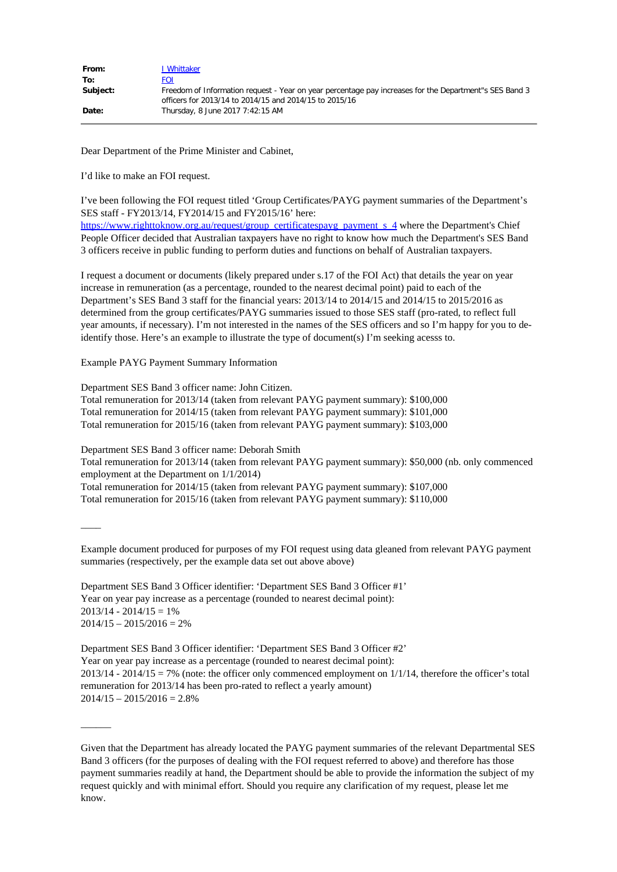| From:    | , Whittaker                                                                                                                                                      |
|----------|------------------------------------------------------------------------------------------------------------------------------------------------------------------|
| To:      | FOI                                                                                                                                                              |
| Subject: | Freedom of Information request - Year on year percentage pay increases for the Department"s SES Band 3<br>officers for 2013/14 to 2014/15 and 2014/15 to 2015/16 |
| Date:    | Thursday, 8 June 2017 7:42:15 AM                                                                                                                                 |

Dear Department of the Prime Minister and Cabinet,

I'd like to make an FOI request.

I've been following the FOI request titled 'Group Certificates/PAYG payment summaries of the Department's SES staff - FY2013/14, FY2014/15 and FY2015/16' here: [https://www.righttoknow.org.au/request/group\\_certificatespayg\\_payment\\_s\\_4](https://www.righttoknow.org.au/request/group_certificatespayg_payment_s_4) where the Department's Chief People Officer decided that Australian taxpayers have no right to know how much the Department's SES Band 3 officers receive in public funding to perform duties and functions on behalf of Australian taxpayers.

I request a document or documents (likely prepared under s.17 of the FOI Act) that details the year on year increase in remuneration (as a percentage, rounded to the nearest decimal point) paid to each of the Department's SES Band 3 staff for the financial years: 2013/14 to 2014/15 and 2014/15 to 2015/2016 as determined from the group certificates/PAYG summaries issued to those SES staff (pro-rated, to reflect full year amounts, if necessary). I'm not interested in the names of the SES officers and so I'm happy for you to deidentify those. Here's an example to illustrate the type of document(s) I'm seeking acesss to.

Example PAYG Payment Summary Information

Department SES Band 3 officer name: John Citizen. Total remuneration for 2013/14 (taken from relevant PAYG payment summary): \$100,000 Total remuneration for 2014/15 (taken from relevant PAYG payment summary): \$101,000 Total remuneration for 2015/16 (taken from relevant PAYG payment summary): \$103,000

Department SES Band 3 officer name: Deborah Smith

 $\overline{\phantom{a}}$ 

 $\mathcal{L}$ 

Total remuneration for 2013/14 (taken from relevant PAYG payment summary): \$50,000 (nb. only commenced employment at the Department on 1/1/2014)

Total remuneration for 2014/15 (taken from relevant PAYG payment summary): \$107,000

Total remuneration for 2015/16 (taken from relevant PAYG payment summary): \$110,000

Example document produced for purposes of my FOI request using data gleaned from relevant PAYG payment summaries (respectively, per the example data set out above above)

Department SES Band 3 Officer identifier: 'Department SES Band 3 Officer #1' Year on year pay increase as a percentage (rounded to nearest decimal point):  $2013/14 - 2014/15 = 1%$  $2014/15 - 2015/2016 = 2%$ 

Department SES Band 3 Officer identifier: 'Department SES Band 3 Officer #2' Year on year pay increase as a percentage (rounded to nearest decimal point):  $2013/14 - 2014/15 = 7\%$  (note: the officer only commenced employment on  $1/1/14$ , therefore the officer's total remuneration for 2013/14 has been pro-rated to reflect a yearly amount)  $2014/15 - 2015/2016 = 2.8%$ 

Given that the Department has already located the PAYG payment summaries of the relevant Departmental SES Band 3 officers (for the purposes of dealing with the FOI request referred to above) and therefore has those payment summaries readily at hand, the Department should be able to provide the information the subject of my request quickly and with minimal effort. Should you require any clarification of my request, please let me know.